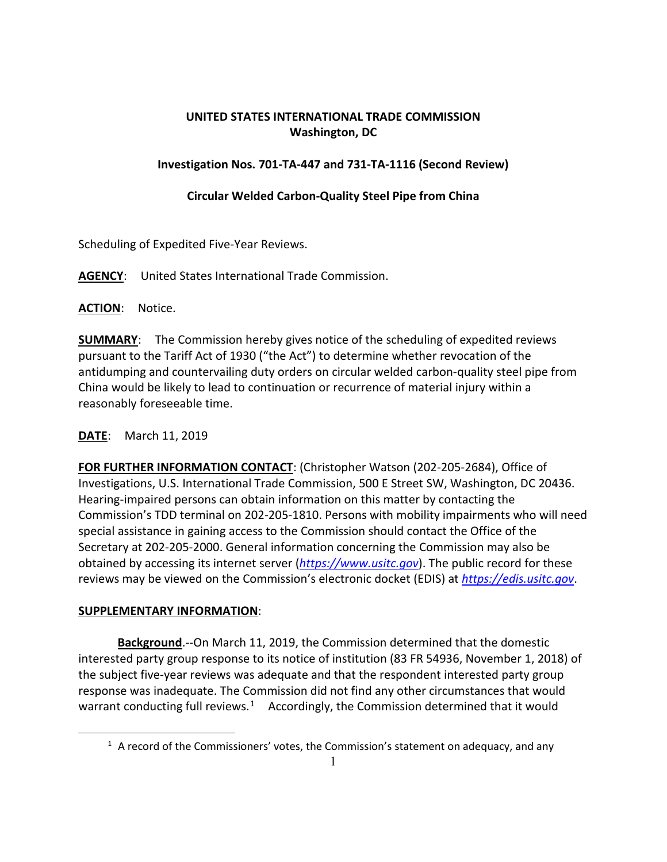# **UNITED STATES INTERNATIONAL TRADE COMMISSION Washington, DC**

### **Investigation Nos. 701-TA-447 and 731-TA-1116 (Second Review)**

### **Circular Welded Carbon-Quality Steel Pipe from China**

Scheduling of Expedited Five-Year Reviews.

### **AGENCY**: United States International Trade Commission.

**ACTION**: Notice.

**SUMMARY**: The Commission hereby gives notice of the scheduling of expedited reviews pursuant to the Tariff Act of 1930 ("the Act") to determine whether revocation of the antidumping and countervailing duty orders on circular welded carbon-quality steel pipe from China would be likely to lead to continuation or recurrence of material injury within a reasonably foreseeable time.

## **DATE**: March 11, 2019

**FOR FURTHER INFORMATION CONTACT**: (Christopher Watson (202-205-2684), Office of Investigations, U.S. International Trade Commission, 500 E Street SW, Washington, DC 20436. Hearing-impaired persons can obtain information on this matter by contacting the Commission's TDD terminal on 202-205-1810. Persons with mobility impairments who will need special assistance in gaining access to the Commission should contact the Office of the Secretary at 202-205-2000. General information concerning the Commission may also be obtained by accessing its internet server (*[https://www.usitc.gov](https://www.usitc.gov/)*). The public record for these reviews may be viewed on the Commission's electronic docket (EDIS) at *[https://edis.usitc.gov](https://edis.usitc.gov/)*.

#### **SUPPLEMENTARY INFORMATION**:

<span id="page-0-0"></span> $\overline{a}$ 

**Background**.--On March 11, 2019, the Commission determined that the domestic interested party group response to its notice of institution (83 FR 54936, November 1, 2018) of the subject five-year reviews was adequate and that the respondent interested party group response was inadequate. The Commission did not find any other circumstances that would warrant conducting full reviews.<sup>1</sup> Accordingly, the Commission determined that it would

 $<sup>1</sup>$  A record of the Commissioners' votes, the Commission's statement on adequacy, and any</sup>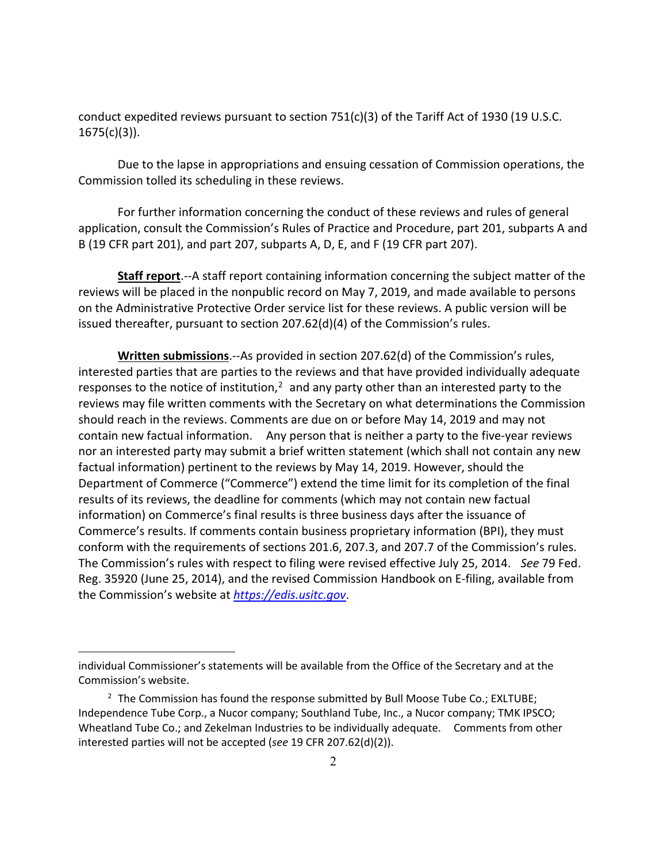conduct expedited reviews pursuant to section 751(c)(3) of the Tariff Act of 1930 (19 U.S.C.  $1675(c)(3)$ ).

Due to the lapse in appropriations and ensuing cessation of Commission operations, the Commission tolled its scheduling in these reviews.

For further information concerning the conduct of these reviews and rules of general application, consult the Commission's Rules of Practice and Procedure, part 201, subparts A and B (19 CFR part 201), and part 207, subparts A, D, E, and F (19 CFR part 207).

**Staff report**.--A staff report containing information concerning the subject matter of the reviews will be placed in the nonpublic record on May 7, 2019, and made available to persons on the Administrative Protective Order service list for these reviews. A public version will be issued thereafter, pursuant to section 207.62(d)(4) of the Commission's rules.

**Written submissions**.--As provided in section 207.62(d) of the Commission's rules, interested parties that are parties to the reviews and that have provided individually adequate responses to the notice of institution, $<sup>2</sup>$  $<sup>2</sup>$  $<sup>2</sup>$  and any party other than an interested party to the</sup> reviews may file written comments with the Secretary on what determinations the Commission should reach in the reviews. Comments are due on or before May 14, 2019 and may not contain new factual information. Any person that is neither a party to the five-year reviews nor an interested party may submit a brief written statement (which shall not contain any new factual information) pertinent to the reviews by May 14, 2019. However, should the Department of Commerce ("Commerce") extend the time limit for its completion of the final results of its reviews, the deadline for comments (which may not contain new factual information) on Commerce's final results is three business days after the issuance of Commerce's results. If comments contain business proprietary information (BPI), they must conform with the requirements of sections 201.6, 207.3, and 207.7 of the Commission's rules. The Commission's rules with respect to filing were revised effective July 25, 2014. *See* 79 Fed. Reg. 35920 (June 25, 2014), and the revised Commission Handbook on E-filing, available from the Commission's website at *[https://edis.usitc.gov](https://edis.usitc.gov/)*.

 $\overline{a}$ 

individual Commissioner's statements will be available from the Office of the Secretary and at the Commission's website.

<span id="page-1-0"></span> $2$  The Commission has found the response submitted by Bull Moose Tube Co.; EXLTUBE; Independence Tube Corp., a Nucor company; Southland Tube, Inc., a Nucor company; TMK IPSCO; Wheatland Tube Co.; and Zekelman Industries to be individually adequate. Comments from other interested parties will not be accepted (*see* 19 CFR 207.62(d)(2)).